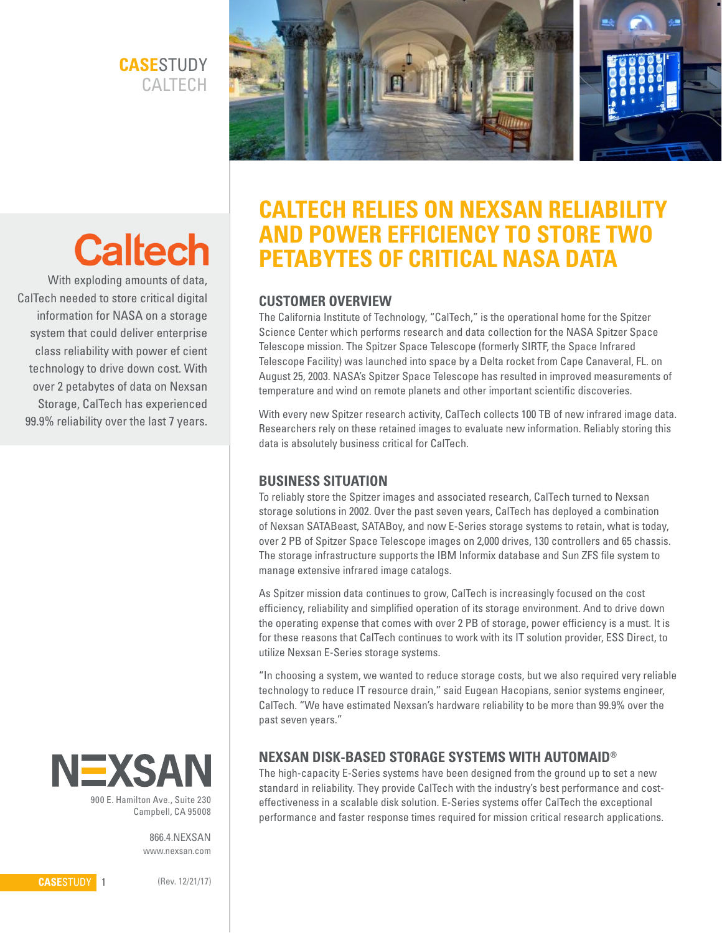# **CASE**STUDY **CALTECH**



# **Caltech**

With exploding amounts of data, CalTech needed to store critical digital information for NASA on a storage system that could deliver enterprise class reliability with power ef cient technology to drive down cost. With over 2 petabytes of data on Nexsan Storage, CalTech has experienced 99.9% reliability over the last 7 years.



900 E. Hamilton Ave., Suite 230 Campbell, CA 95008

> 866.4.NEXSAN www.nexsan.com

# **CALTECH RELIES ON NEXSAN RELIABILITY AND POWER EFFICIENCY TO STORE TWO PETABYTES OF CRITICAL NASA DATA**

### **CUSTOMER OVERVIEW**

The California Institute of Technology, "CalTech," is the operational home for the Spitzer Science Center which performs research and data collection for the NASA Spitzer Space Telescope mission. The Spitzer Space Telescope (formerly SIRTF, the Space Infrared Telescope Facility) was launched into space by a Delta rocket from Cape Canaveral, FL. on August 25, 2003. NASA's Spitzer Space Telescope has resulted in improved measurements of temperature and wind on remote planets and other important scientific discoveries.

With every new Spitzer research activity, CalTech collects 100 TB of new infrared image data. Researchers rely on these retained images to evaluate new information. Reliably storing this data is absolutely business critical for CalTech.

#### **BUSINESS SITUATION**

To reliably store the Spitzer images and associated research, CalTech turned to Nexsan storage solutions in 2002. Over the past seven years, CalTech has deployed a combination of Nexsan SATABeast, SATABoy, and now E-Series storage systems to retain, what is today, over 2 PB of Spitzer Space Telescope images on 2,000 drives, 130 controllers and 65 chassis. The storage infrastructure supports the IBM Informix database and Sun ZFS file system to manage extensive infrared image catalogs.

As Spitzer mission data continues to grow, CalTech is increasingly focused on the cost efficiency, reliability and simplified operation of its storage environment. And to drive down the operating expense that comes with over 2 PB of storage, power efficiency is a must. It is for these reasons that CalTech continues to work with its IT solution provider, ESS Direct, to utilize Nexsan E-Series storage systems.

"In choosing a system, we wanted to reduce storage costs, but we also required very reliable technology to reduce IT resource drain," said Eugean Hacopians, senior systems engineer, CalTech. "We have estimated Nexsan's hardware reliability to be more than 99.9% over the past seven years."

## **NEXSAN DISK-BASED STORAGE SYSTEMS WITH AUTOMAID®**

The high-capacity E-Series systems have been designed from the ground up to set a new standard in reliability. They provide CalTech with the industry's best performance and costeffectiveness in a scalable disk solution. E-Series systems offer CalTech the exceptional performance and faster response times required for mission critical research applications.

**CASE**STUDY 1

(Rev. 12/21/17)